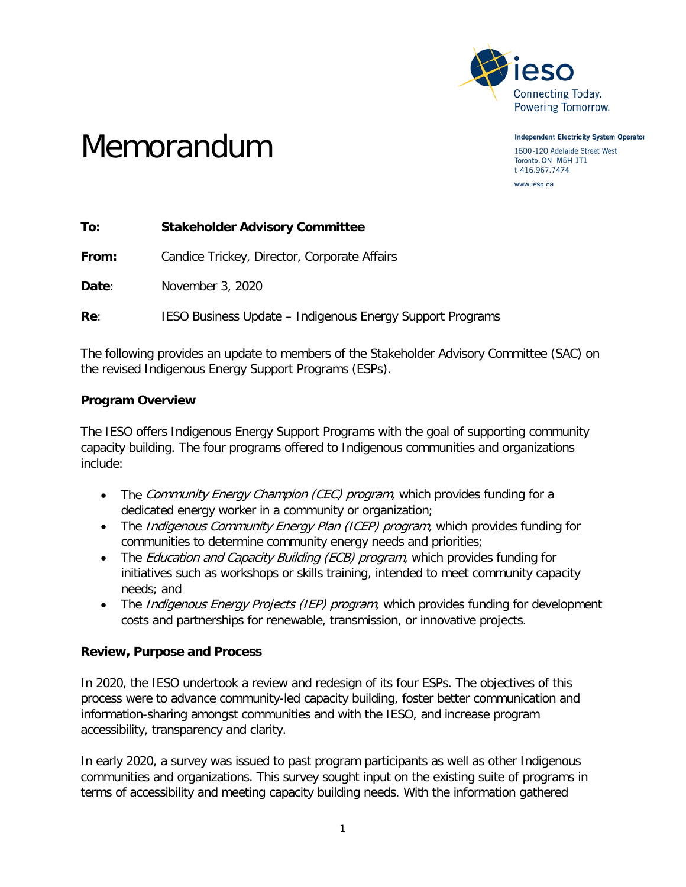

**Independent Electricity System Operator** 

1600-120 Adelaide Street West Toronto, ON M5H 1T1 t 416.967.7474 www.ieso.ca

# Memorandum

**To: Stakeholder Advisory Committee From:** Candice Trickey, Director, Corporate Affairs **Date**: November 3, 2020 **Re:** IESO Business Update – Indigenous Energy Support Programs

The following provides an update to members of the Stakeholder Advisory Committee (SAC) on the revised Indigenous Energy Support Programs (ESPs).

# **Program Overview**

The IESO offers Indigenous Energy Support Programs with the goal of supporting community capacity building. The four programs offered to Indigenous communities and organizations include:

- The Community Energy Champion (CEC) program, which provides funding for a dedicated energy worker in a community or organization;
- The *Indigenous Community Energy Plan (ICEP) program*, which provides funding for communities to determine community energy needs and priorities;
- The *Education and Capacity Building (ECB) program*, which provides funding for initiatives such as workshops or skills training, intended to meet community capacity needs; and
- The *Indigenous Energy Projects (IEP) program*, which provides funding for development costs and partnerships for renewable, transmission, or innovative projects.

# **Review, Purpose and Process**

In 2020, the IESO undertook a review and redesign of its four ESPs. The objectives of this process were to advance community-led capacity building, foster better communication and information-sharing amongst communities and with the IESO, and increase program accessibility, transparency and clarity.

In early 2020, a survey was issued to past program participants as well as other Indigenous communities and organizations. This survey sought input on the existing suite of programs in terms of accessibility and meeting capacity building needs. With the information gathered